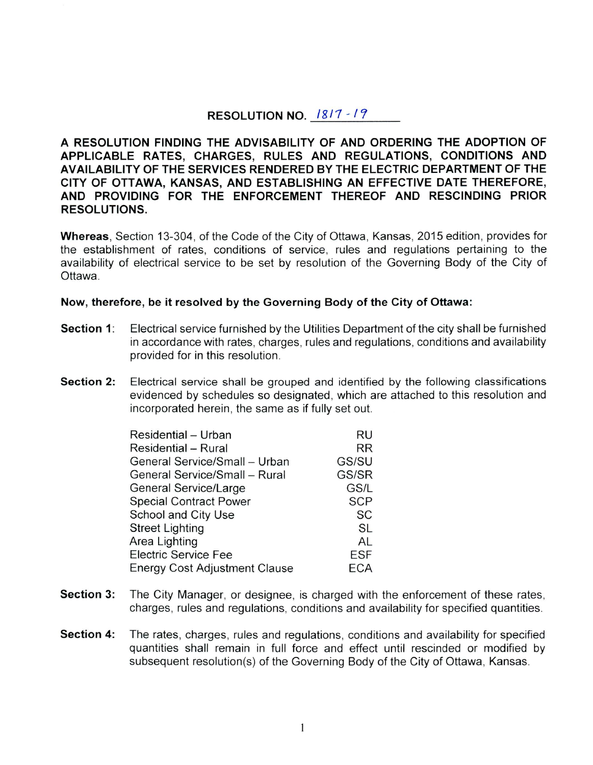# **RESOLUTION NO.**  $1817 - 19$

**A RESOLUTION FINDING THE ADVISABILITY OF AND ORDERING THE ADOPTION OF APPLICABLE RATES, CHARGES, RULES AND REGULATIONS, CONDITIONS AND AVAILABILITY OF THE SERVICES RENDERED BY THE ELECTRIC DEPARTMENT OF THE CITY OF OTTAWA, KANSAS, AND ESTABLISHING AN EFFECTIVE DATE THEREFORE, AND PROVIDING FOR THE ENFORCEMENT THEREOF AND RESCINDING PRIOR RESOLUTIONS.** 

**Whereas,** Section 13-304, of the Code of the City of Ottawa, Kansas, 2015 edition, provides for the establishment of rates, conditions of service, rules and regulations pertaining to the availability of electrical service to be set by resolution of the Governing Body of the City of Ottawa.

#### **Now, therefore, be it resolved by the Governing Body of the City of Ottawa:**

- **Section 1:** Electrical service furnished by the Utilities Department of the city shall be furnished in accordance with rates, charges, rules and regulations, conditions and availability provided for in this resolution.
- **Section 2:** Electrical service shall be grouped and identified by the following classifications evidenced by schedules so designated, which are attached to this resolution and incorporated herein, the same as if fully set out.

| Residential - Urban                  | RU         |
|--------------------------------------|------------|
| <b>Residential - Rural</b>           | <b>RR</b>  |
| General Service/Small - Urban        | GS/SU      |
| General Service/Small - Rural        | GS/SR      |
| <b>General Service/Large</b>         | GS/L       |
| <b>Special Contract Power</b>        | <b>SCP</b> |
| School and City Use                  | SC         |
| <b>Street Lighting</b>               | <b>SL</b>  |
| Area Lighting                        | AL         |
| <b>Electric Service Fee</b>          | <b>ESF</b> |
| <b>Energy Cost Adjustment Clause</b> | ECA        |

- **Section 3:** The City Manager, or designee, is charged with the enforcement of these rates, charges, rules and regulations, conditions and availability for specified quantities.
- **Section 4:** The rates, charges, rules and regulations, conditions and availability for specified quantities shall remain in full force and effect until rescinded or modified by subsequent resolution(s) of the Governing Body of the City of Ottawa, Kansas.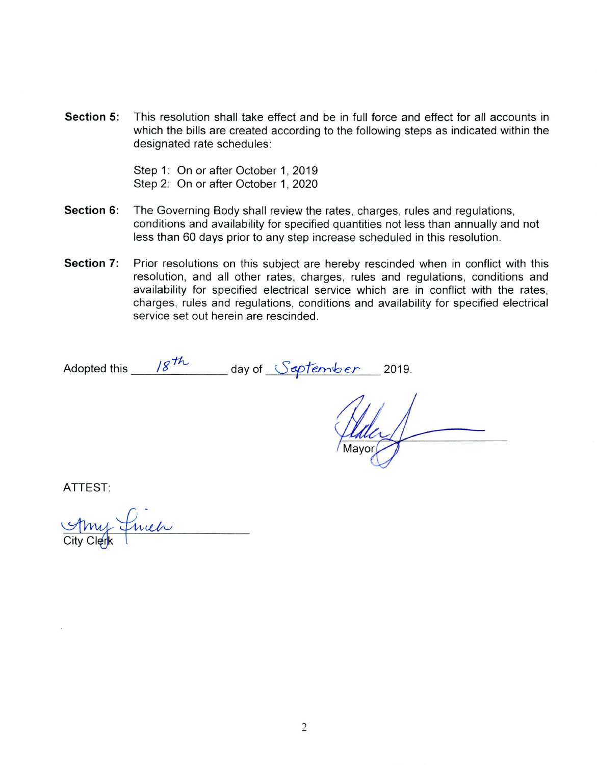**Section 5:** This resolution shall take effect and be in full force and effect for all accounts in which the bills are created according to the following steps as indicated within the designated rate schedules:

> Step 1: On or after October 1, 2019 Step 2: On or after October 1, 2020

- **Section 6:** The Governing Body shall review the rates, charges, rules and regulations, conditions and availability for specified quantities not less than annually and not less than 60 days prior to any step increase scheduled in this resolution.
- **Section 7:** Prior resolutions on this subject are hereby rescinded when in conflict with this resolution, and all other rates, charges, rules and regulations, conditions and availability for specified electrical service which are in conflict with the rates, charges, rules and regulations, conditions and availability for specified electrical service set out herein are rescinded.

Adopted this \_\_\_ /g<sup>th</sup>\_\_\_\_\_ day of <u>September</u> 2019.

ATTEST:

*. i~*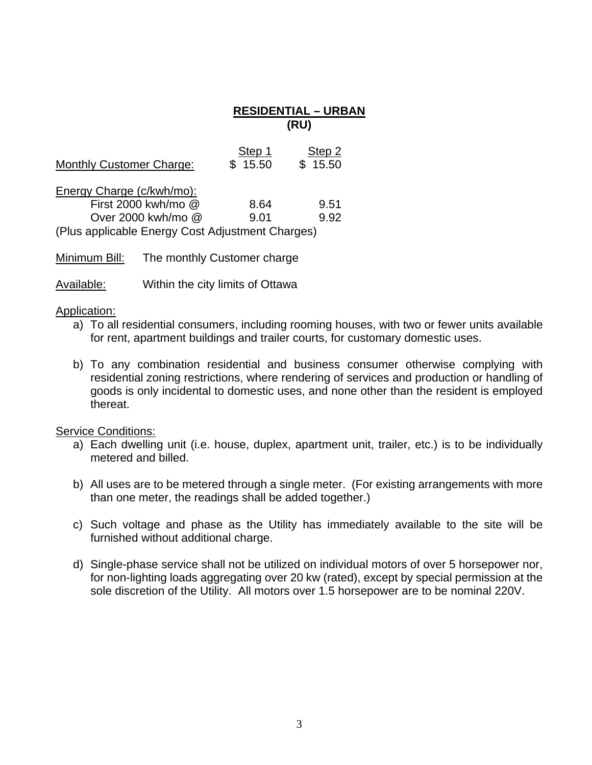## **RESIDENTIAL – URBAN (RU)**

| <b>Monthly Customer Charge:</b>                  | Step 1<br>\$15.50 | Step 2<br>\$15.50 |
|--------------------------------------------------|-------------------|-------------------|
| Energy Charge (c/kwh/mo):                        |                   |                   |
| First 2000 kwh/mo @                              | 8.64              | 9.51              |
| Over 2000 kwh/mo @                               | 9.01              | 9.92              |
| (Plus applicable Energy Cost Adjustment Charges) |                   |                   |

Minimum Bill: The monthly Customer charge

Available: Within the city limits of Ottawa

#### Application:

- a) To all residential consumers, including rooming houses, with two or fewer units available for rent, apartment buildings and trailer courts, for customary domestic uses.
- b) To any combination residential and business consumer otherwise complying with residential zoning restrictions, where rendering of services and production or handling of goods is only incidental to domestic uses, and none other than the resident is employed thereat.

- a) Each dwelling unit (i.e. house, duplex, apartment unit, trailer, etc.) is to be individually metered and billed.
- b) All uses are to be metered through a single meter. (For existing arrangements with more than one meter, the readings shall be added together.)
- c) Such voltage and phase as the Utility has immediately available to the site will be furnished without additional charge.
- d) Single-phase service shall not be utilized on individual motors of over 5 horsepower nor, for non-lighting loads aggregating over 20 kw (rated), except by special permission at the sole discretion of the Utility. All motors over 1.5 horsepower are to be nominal 220V.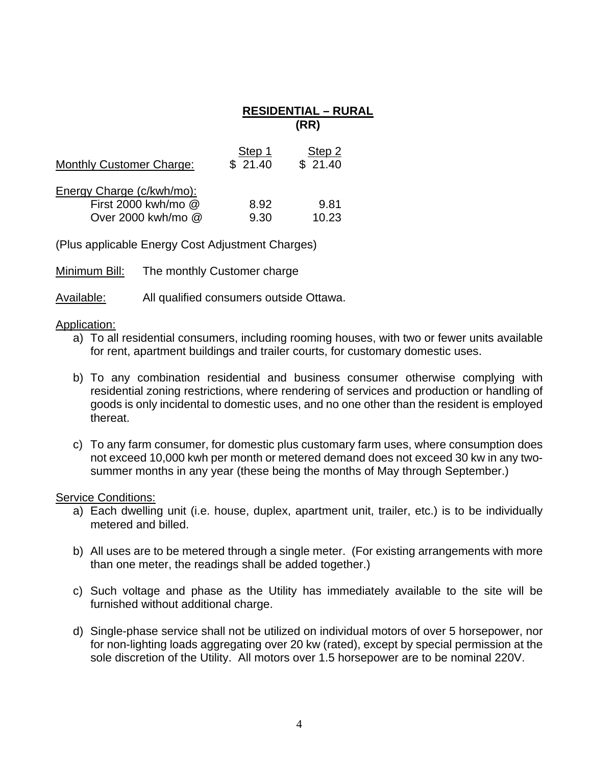|                                                                        | <b>RESIDENTIAL - RURAL</b><br>(RR) |                   |  |
|------------------------------------------------------------------------|------------------------------------|-------------------|--|
| <b>Monthly Customer Charge:</b>                                        | Step 1<br>\$21.40                  | Step 2<br>\$21.40 |  |
| Energy Charge (c/kwh/mo):<br>First 2000 kwh/mo @<br>Over 2000 kwh/mo @ | 8.92<br>9.30                       | 9.81<br>10.23     |  |

(Plus applicable Energy Cost Adjustment Charges)

Minimum Bill: The monthly Customer charge

Available: All qualified consumers outside Ottawa.

## Application:

- a) To all residential consumers, including rooming houses, with two or fewer units available for rent, apartment buildings and trailer courts, for customary domestic uses.
- b) To any combination residential and business consumer otherwise complying with residential zoning restrictions, where rendering of services and production or handling of goods is only incidental to domestic uses, and no one other than the resident is employed thereat.
- c) To any farm consumer, for domestic plus customary farm uses, where consumption does not exceed 10,000 kwh per month or metered demand does not exceed 30 kw in any twosummer months in any year (these being the months of May through September.)

- a) Each dwelling unit (i.e. house, duplex, apartment unit, trailer, etc.) is to be individually metered and billed.
- b) All uses are to be metered through a single meter. (For existing arrangements with more than one meter, the readings shall be added together.)
- c) Such voltage and phase as the Utility has immediately available to the site will be furnished without additional charge.
- d) Single-phase service shall not be utilized on individual motors of over 5 horsepower, nor for non-lighting loads aggregating over 20 kw (rated), except by special permission at the sole discretion of the Utility. All motors over 1.5 horsepower are to be nominal 220V.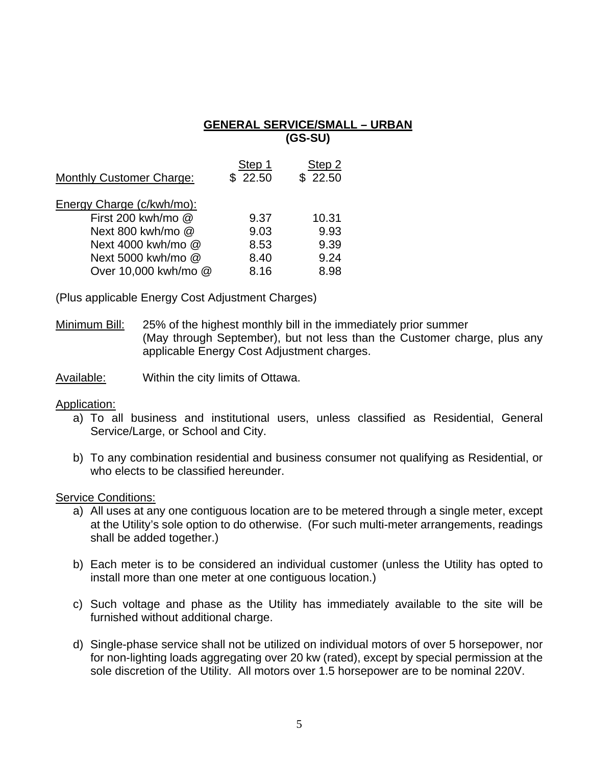## **GENERAL SERVICE/SMALL – URBAN (GS-SU)**

| <b>Monthly Customer Charge:</b> | Step 1<br>\$22.50 | Step 2<br>\$22.50 |
|---------------------------------|-------------------|-------------------|
| Energy Charge (c/kwh/mo):       |                   |                   |
| First 200 kwh/mo @              | 9.37              | 10.31             |
| Next 800 kwh/mo @               | 9.03              | 9.93              |
| Next 4000 kwh/mo @              | 8.53              | 9.39              |
| Next 5000 kwh/mo @              | 8.40              | 9.24              |
| Over 10,000 kwh/mo @            | 8.16              | 8.98              |

(Plus applicable Energy Cost Adjustment Charges)

Minimum Bill: 25% of the highest monthly bill in the immediately prior summer (May through September), but not less than the Customer charge, plus any applicable Energy Cost Adjustment charges.

Available: Within the city limits of Ottawa.

#### Application:

- a) To all business and institutional users, unless classified as Residential, General Service/Large, or School and City.
- b) To any combination residential and business consumer not qualifying as Residential, or who elects to be classified hereunder.

- a) All uses at any one contiguous location are to be metered through a single meter, except at the Utility's sole option to do otherwise. (For such multi-meter arrangements, readings shall be added together.)
- b) Each meter is to be considered an individual customer (unless the Utility has opted to install more than one meter at one contiguous location.)
- c) Such voltage and phase as the Utility has immediately available to the site will be furnished without additional charge.
- d) Single-phase service shall not be utilized on individual motors of over 5 horsepower, nor for non-lighting loads aggregating over 20 kw (rated), except by special permission at the sole discretion of the Utility. All motors over 1.5 horsepower are to be nominal 220V.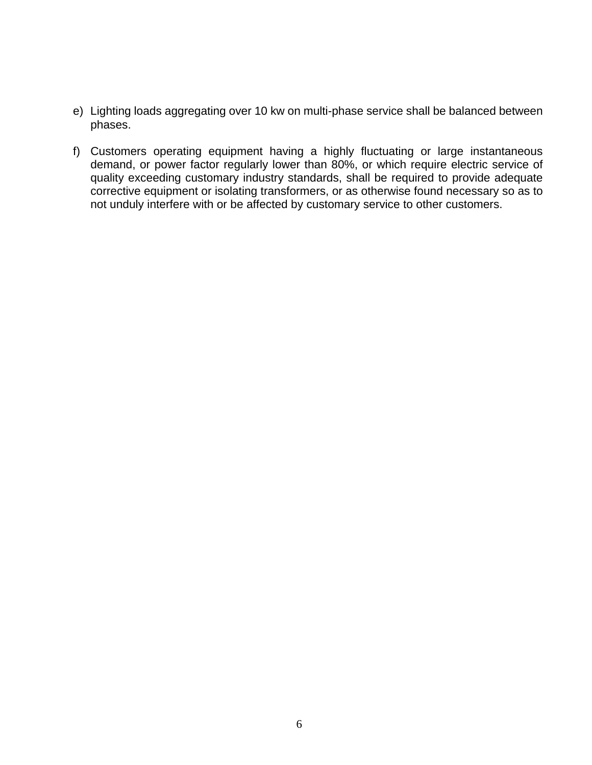- e) Lighting loads aggregating over 10 kw on multi-phase service shall be balanced between phases.
- f) Customers operating equipment having a highly fluctuating or large instantaneous demand, or power factor regularly lower than 80%, or which require electric service of quality exceeding customary industry standards, shall be required to provide adequate corrective equipment or isolating transformers, or as otherwise found necessary so as to not unduly interfere with or be affected by customary service to other customers.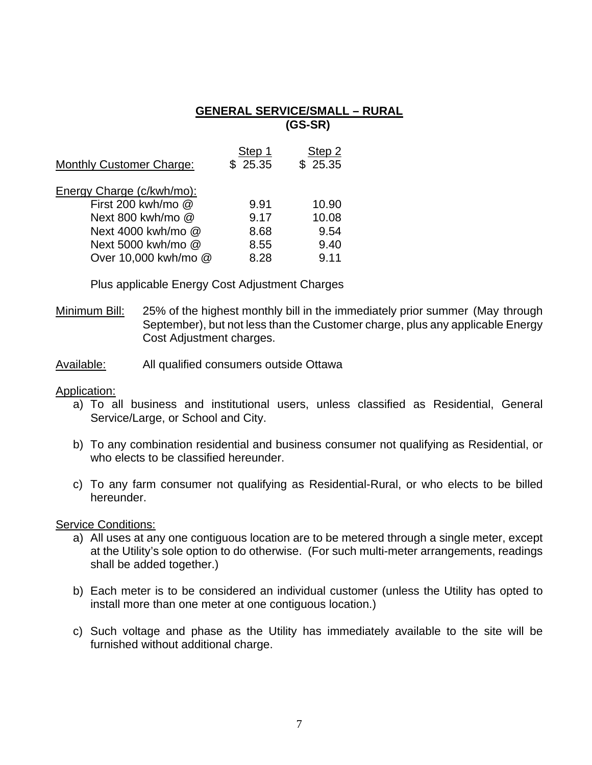#### **GENERAL SERVICE/SMALL – RURAL (GS-SR)**

| <b>Monthly Customer Charge:</b> | Step 1<br>\$25.35 | Step 2<br>\$25.35 |
|---------------------------------|-------------------|-------------------|
| Energy Charge (c/kwh/mo):       |                   |                   |
| First 200 kwh/mo @              | 9.91              | 10.90             |
| Next 800 kwh/mo @               | 9.17              | 10.08             |
| Next 4000 kwh/mo @              | 8.68              | 9.54              |
| Next 5000 kwh/mo @              | 8.55              | 9.40              |
| Over 10,000 kwh/mo @            | 8.28              | 9.11              |

Plus applicable Energy Cost Adjustment Charges

- Minimum Bill: 25% of the highest monthly bill in the immediately prior summer (May through September), but not less than the Customer charge, plus any applicable Energy Cost Adjustment charges.
- Available: All qualified consumers outside Ottawa

Application:

- a) To all business and institutional users, unless classified as Residential, General Service/Large, or School and City.
- b) To any combination residential and business consumer not qualifying as Residential, or who elects to be classified hereunder.
- c) To any farm consumer not qualifying as Residential-Rural, or who elects to be billed hereunder.

- a) All uses at any one contiguous location are to be metered through a single meter, except at the Utility's sole option to do otherwise. (For such multi-meter arrangements, readings shall be added together.)
- b) Each meter is to be considered an individual customer (unless the Utility has opted to install more than one meter at one contiguous location.)
- c) Such voltage and phase as the Utility has immediately available to the site will be furnished without additional charge.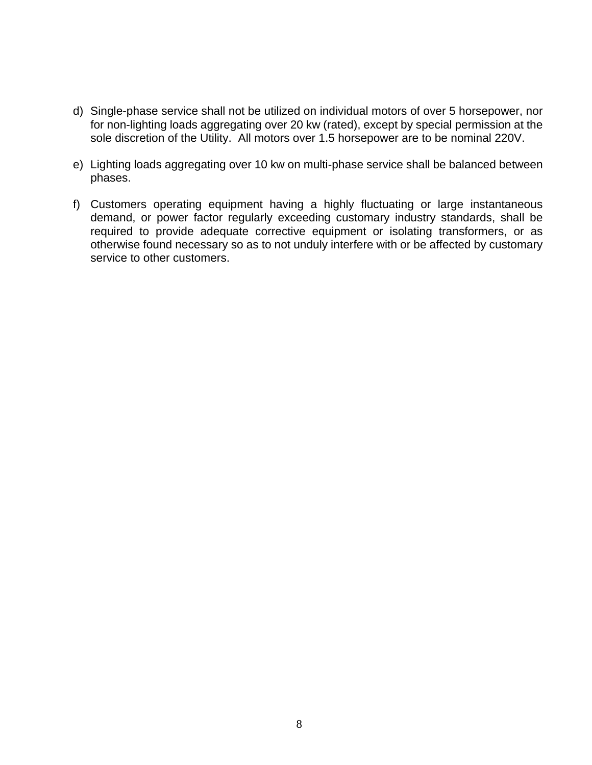- d) Single-phase service shall not be utilized on individual motors of over 5 horsepower, nor for non-lighting loads aggregating over 20 kw (rated), except by special permission at the sole discretion of the Utility. All motors over 1.5 horsepower are to be nominal 220V.
- e) Lighting loads aggregating over 10 kw on multi-phase service shall be balanced between phases.
- f) Customers operating equipment having a highly fluctuating or large instantaneous demand, or power factor regularly exceeding customary industry standards, shall be required to provide adequate corrective equipment or isolating transformers, or as otherwise found necessary so as to not unduly interfere with or be affected by customary service to other customers.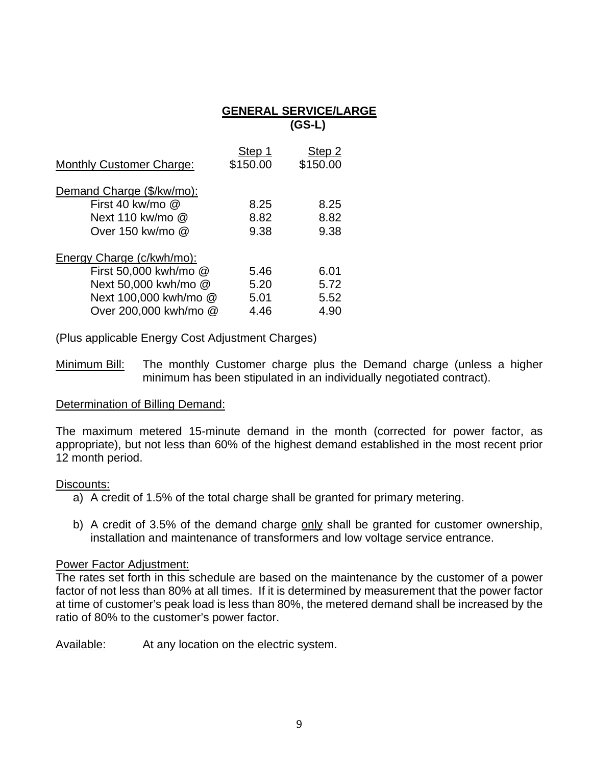|                                                                                                 |                              | <b>GENERAL SERVICE/LARGE</b><br>$(GS-L)$ |
|-------------------------------------------------------------------------------------------------|------------------------------|------------------------------------------|
| <b>Monthly Customer Charge:</b>                                                                 | Step 1<br>\$150.00           | Step 2<br>\$150.00                       |
| Demand Charge (\$/kw/mo):<br>First 40 kw/mo $@$<br>Next 110 kw/mo @<br>Over 150 kw/mo @         | 8.25<br>8.82<br>9.38         | 8.25<br>8.82<br>9.38                     |
| Energy Charge (c/kwh/mo):                                                                       |                              |                                          |
| First 50,000 kwh/mo @<br>Next 50,000 kwh/mo @<br>Next 100,000 kwh/mo @<br>Over 200,000 kwh/mo @ | 5.46<br>5.20<br>5.01<br>4.46 | 6.01<br>5.72<br>5.52<br>4.90             |

(Plus applicable Energy Cost Adjustment Charges)

Minimum Bill: The monthly Customer charge plus the Demand charge (unless a higher minimum has been stipulated in an individually negotiated contract).

## Determination of Billing Demand:

The maximum metered 15-minute demand in the month (corrected for power factor, as appropriate), but not less than 60% of the highest demand established in the most recent prior 12 month period.

#### Discounts:

- a) A credit of 1.5% of the total charge shall be granted for primary metering.
- b) A credit of 3.5% of the demand charge only shall be granted for customer ownership, installation and maintenance of transformers and low voltage service entrance.

## Power Factor Adjustment:

The rates set forth in this schedule are based on the maintenance by the customer of a power factor of not less than 80% at all times. If it is determined by measurement that the power factor at time of customer's peak load is less than 80%, the metered demand shall be increased by the ratio of 80% to the customer's power factor.

Available: At any location on the electric system.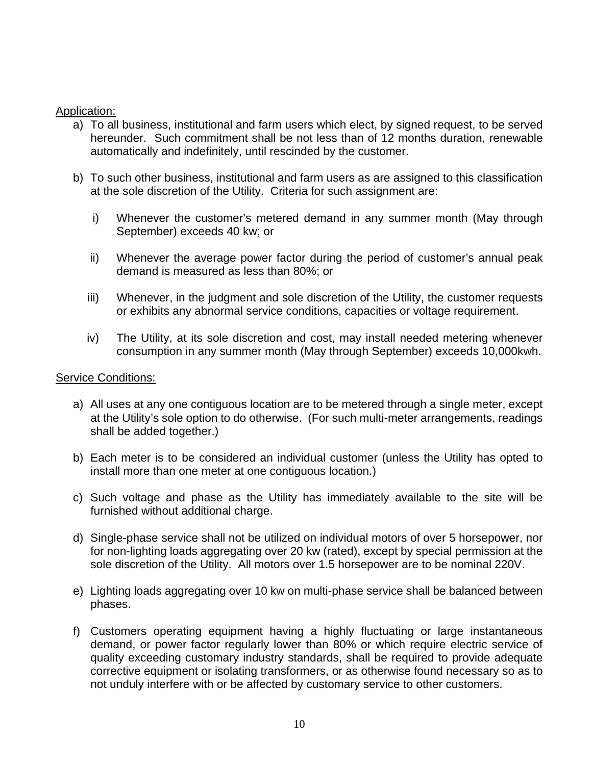## Application:

- a) To all business, institutional and farm users which elect, by signed request, to be served hereunder. Such commitment shall be not less than of 12 months duration, renewable automatically and indefinitely, until rescinded by the customer.
- b) To such other business, institutional and farm users as are assigned to this classification at the sole discretion of the Utility. Criteria for such assignment are:
	- i) Whenever the customer's metered demand in any summer month (May through September) exceeds 40 kw; or
	- ii) Whenever the average power factor during the period of customer's annual peak demand is measured as less than 80%; or
	- iii) Whenever, in the judgment and sole discretion of the Utility, the customer requests or exhibits any abnormal service conditions, capacities or voltage requirement.
	- iv) The Utility, at its sole discretion and cost, may install needed metering whenever consumption in any summer month (May through September) exceeds 10,000kwh.

- a) All uses at any one contiguous location are to be metered through a single meter, except at the Utility's sole option to do otherwise. (For such multi-meter arrangements, readings shall be added together.)
- b) Each meter is to be considered an individual customer (unless the Utility has opted to install more than one meter at one contiguous location.)
- c) Such voltage and phase as the Utility has immediately available to the site will be furnished without additional charge.
- d) Single-phase service shall not be utilized on individual motors of over 5 horsepower, nor for non-lighting loads aggregating over 20 kw (rated), except by special permission at the sole discretion of the Utility. All motors over 1.5 horsepower are to be nominal 220V.
- e) Lighting loads aggregating over 10 kw on multi-phase service shall be balanced between phases.
- f) Customers operating equipment having a highly fluctuating or large instantaneous demand, or power factor regularly lower than 80% or which require electric service of quality exceeding customary industry standards, shall be required to provide adequate corrective equipment or isolating transformers, or as otherwise found necessary so as to not unduly interfere with or be affected by customary service to other customers.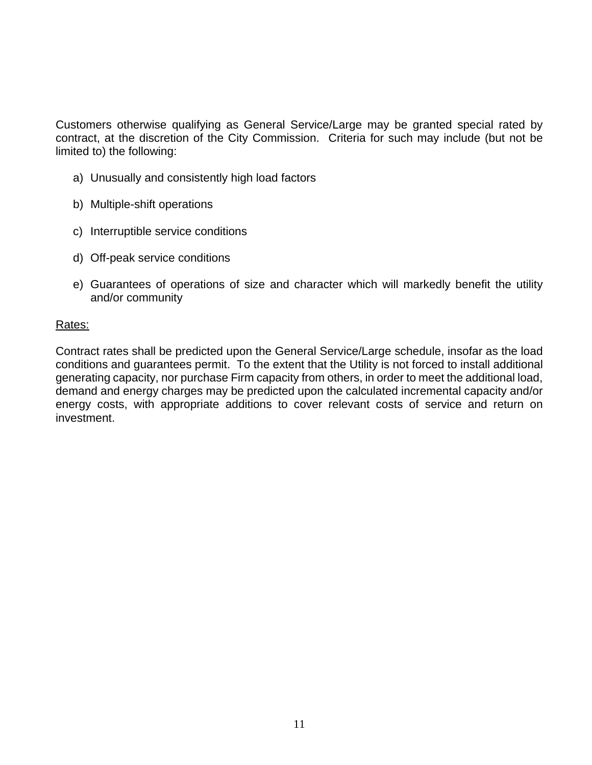Customers otherwise qualifying as General Service/Large may be granted special rated by contract, at the discretion of the City Commission. Criteria for such may include (but not be limited to) the following:

- a) Unusually and consistently high load factors
- b) Multiple-shift operations
- c) Interruptible service conditions
- d) Off-peak service conditions
- e) Guarantees of operations of size and character which will markedly benefit the utility and/or community

## Rates:

Contract rates shall be predicted upon the General Service/Large schedule, insofar as the load conditions and guarantees permit. To the extent that the Utility is not forced to install additional generating capacity, nor purchase Firm capacity from others, in order to meet the additional load, demand and energy charges may be predicted upon the calculated incremental capacity and/or energy costs, with appropriate additions to cover relevant costs of service and return on investment.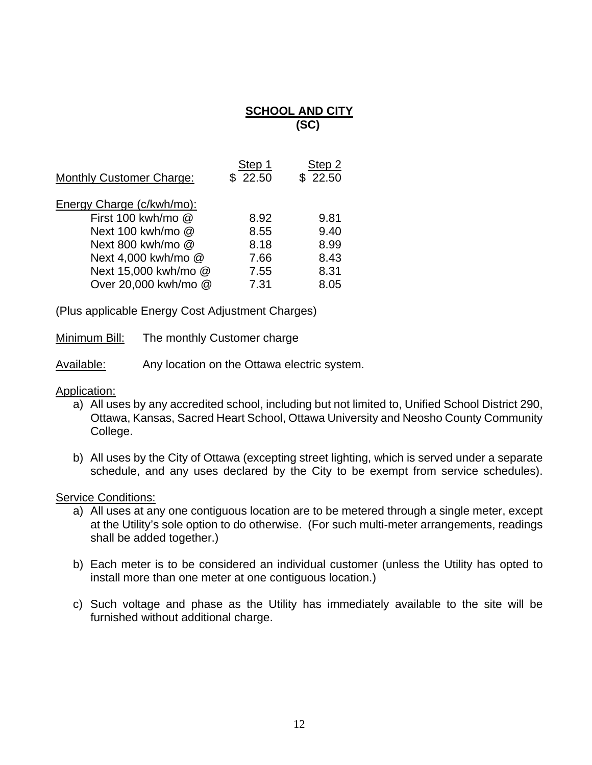# **SCHOOL AND CITY (SC)**

| <b>Monthly Customer Charge:</b> | Step 1<br>\$22.50 | Step 2<br>\$22.50 |
|---------------------------------|-------------------|-------------------|
| Energy Charge (c/kwh/mo):       |                   |                   |
| First 100 kwh/mo @              | 8.92              | 9.81              |
| Next 100 kwh/mo @               | 8.55              | 9.40              |
| Next 800 kwh/mo @               | 8.18              | 8.99              |
| Next 4,000 kwh/mo @             | 7.66              | 8.43              |
| Next 15,000 kwh/mo @            | 7.55              | 8.31              |
| Over 20,000 kwh/mo @            | 7.31              | 8.05              |

(Plus applicable Energy Cost Adjustment Charges)

Minimum Bill: The monthly Customer charge

Available: Any location on the Ottawa electric system.

Application:

- a) All uses by any accredited school, including but not limited to, Unified School District 290, Ottawa, Kansas, Sacred Heart School, Ottawa University and Neosho County Community College.
- b) All uses by the City of Ottawa (excepting street lighting, which is served under a separate schedule, and any uses declared by the City to be exempt from service schedules).

- a) All uses at any one contiguous location are to be metered through a single meter, except at the Utility's sole option to do otherwise. (For such multi-meter arrangements, readings shall be added together.)
- b) Each meter is to be considered an individual customer (unless the Utility has opted to install more than one meter at one contiguous location.)
- c) Such voltage and phase as the Utility has immediately available to the site will be furnished without additional charge.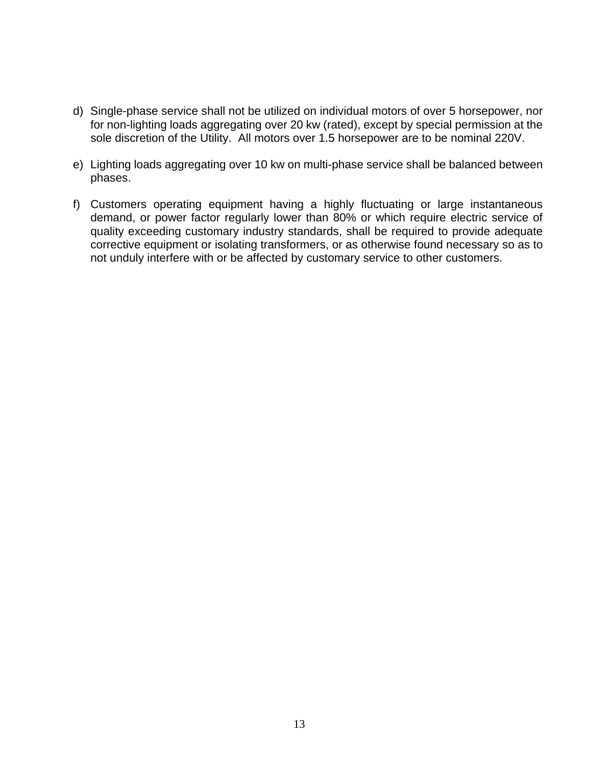- d) Single-phase service shall not be utilized on individual motors of over 5 horsepower, nor for non-lighting loads aggregating over 20 kw (rated), except by special permission at the sole discretion of the Utility. All motors over 1.5 horsepower are to be nominal 220V.
- e) Lighting loads aggregating over 10 kw on multi-phase service shall be balanced between phases.
- f) Customers operating equipment having a highly fluctuating or large instantaneous demand, or power factor regularly lower than 80% or which require electric service of quality exceeding customary industry standards, shall be required to provide adequate corrective equipment or isolating transformers, or as otherwise found necessary so as to not unduly interfere with or be affected by customary service to other customers.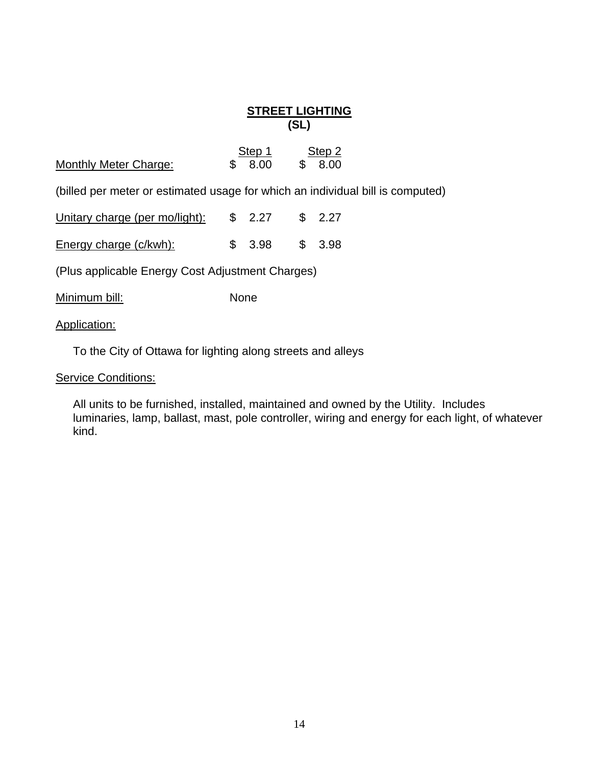## **STREET LIGHTING (SL)**

|                              | Step 1  | Step 2  |
|------------------------------|---------|---------|
| <b>Monthly Meter Charge:</b> | \$ 8.00 | \$ 8.00 |

(billed per meter or estimated usage for which an individual bill is computed)

| Unitary charge (per mo/light): $$ 2.27$ $$ 2.27$ |                 |  |
|--------------------------------------------------|-----------------|--|
| <b>Energy charge (c/kwh):</b>                    | $$3.98$ $$3.98$ |  |

(Plus applicable Energy Cost Adjustment Charges)

Minimum bill: None

Application:

To the City of Ottawa for lighting along streets and alleys

**Service Conditions:** 

All units to be furnished, installed, maintained and owned by the Utility. Includes luminaries, lamp, ballast, mast, pole controller, wiring and energy for each light, of whatever kind.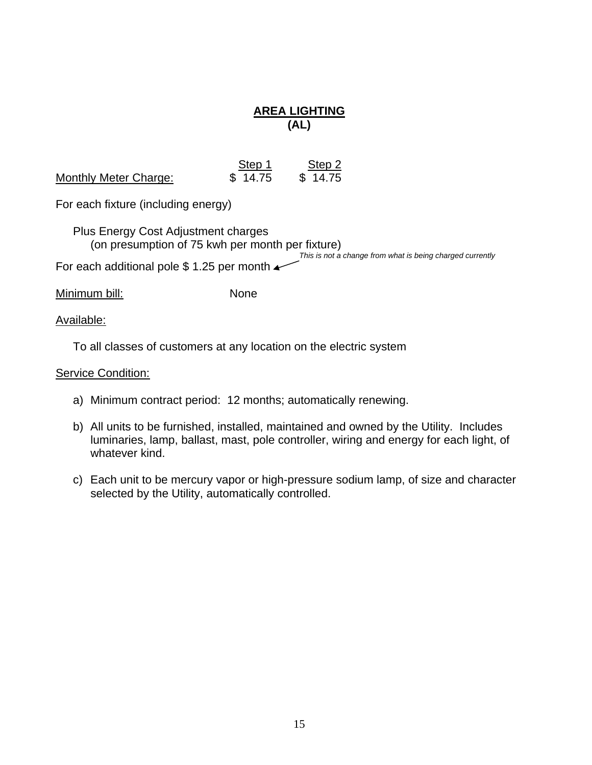# **AREA LIGHTING (AL)**

|                              | Step 1  | Step 2  |
|------------------------------|---------|---------|
| <b>Monthly Meter Charge:</b> | \$14.75 | \$14.75 |

For each fixture (including energy)

 Plus Energy Cost Adjustment charges (on presumption of 75 kwh per month per fixture) *This is not a change from what is being charged currently* 

For each additional pole \$1.25 per month  $\rightarrow$ 

Minimum bill: None

## Available:

To all classes of customers at any location on the electric system

- a) Minimum contract period: 12 months; automatically renewing.
- b) All units to be furnished, installed, maintained and owned by the Utility. Includes luminaries, lamp, ballast, mast, pole controller, wiring and energy for each light, of whatever kind.
- c) Each unit to be mercury vapor or high-pressure sodium lamp, of size and character selected by the Utility, automatically controlled.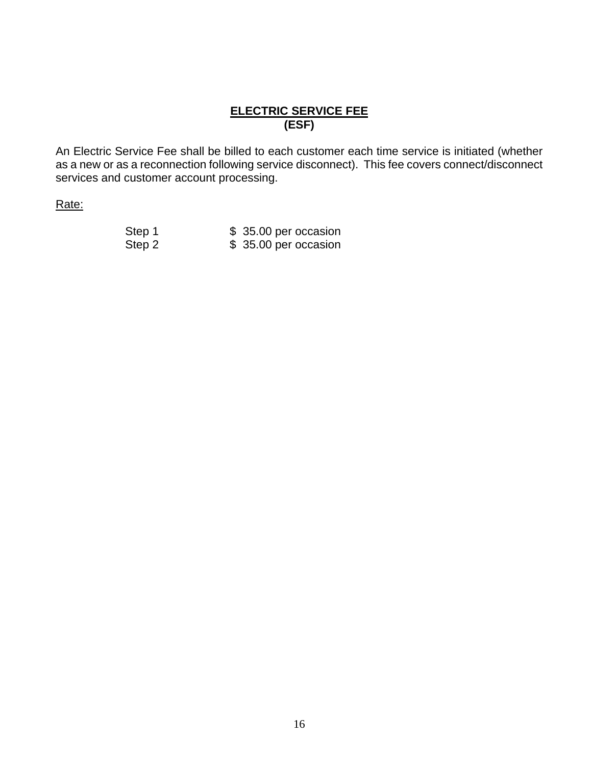# **ELECTRIC SERVICE FEE (ESF)**

An Electric Service Fee shall be billed to each customer each time service is initiated (whether as a new or as a reconnection following service disconnect). This fee covers connect/disconnect services and customer account processing.

Rate:

| Step 1 | \$35.00 per occasion |
|--------|----------------------|
| Step 2 | \$35.00 per occasion |